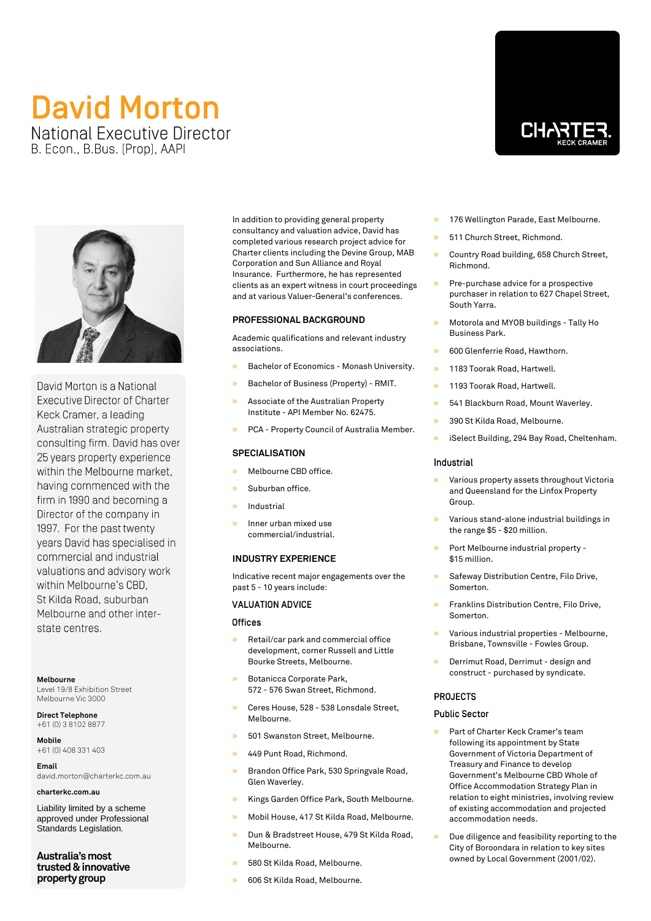# **David Morton National Executive Director** B. Econ., B.Bus. (Prop), AAPI



David Morton is a National **Executive Director of Charter** Keck Cramer, a leading Australian strategic property consulting firm. David has over 25 years property experience within the Melbourne market, having commenced with the firm in 1990 and becoming a Director of the company in 1997. For the past twenty years David has specialised in commercial and industrial valuations and advisory work within Melbourne's CBD, St Kilda Road, suburban Melbourne and other interstate centres.

**Melbourne**

Level 19/8 Exhibition Street Melbourne Vic 3000

**Direct Telephone** +61 (0) 3 8102 8877

**Mobile** +61 (0) 408 331 403

**Email** david.morton@charterkc.com.au

**charterkc.com.au**

Liability limited by a scheme approved under Professional Standards Legislation.

**Australia's most trusted & innovative property group**

In addition to providing general property consultancy and valuation advice, David has completed various research project advice for Charter clients including the Devine Group, MAB Corporation and Sun Alliance and Royal Insurance. Furthermore, he has represented clients as an expert witness in court proceedings and at various Valuer-General's conferences.

## **PROFESSIONAL BACKGROUND**

Academic qualifications and relevant industry associations.

- » Bachelor of Economics Monash University.
- » Bachelor of Business (Property) RMIT.
- » Associate of the Australian Property Institute - API Member No. 62475.
- PCA Property Council of Australia Member.

## **SPECIALISATION**

- » Melbourne CBD office.
- Suburban office.
- **Industrial**
- » Inner urban mixed use commercial/industrial.

## **INDUSTRY EXPERIENCE**

Indicative recent major engagements over the past 5 - 10 years include:

# **VALUATION ADVICE**

## **Offices**

- » Retail/car park and commercial office development, corner Russell and Little Bourke Streets, Melbourne.
- » Botanicca Corporate Park, 572 - 576 Swan Street, Richmond.
- » Ceres House, 528 538 Lonsdale Street, Melbourne.
- » 501 Swanston Street, Melbourne.
- » 449 Punt Road, Richmond.
- » Brandon Office Park, 530 Springvale Road, Glen Waverley.
- » Kings Garden Office Park, South Melbourne.
- » Mobil House, 417 St Kilda Road, Melbourne.
- » Dun & Bradstreet House, 479 St Kilda Road, Melbourne.
- » 580 St Kilda Road, Melbourne.
- » 606 St Kilda Road, Melbourne.



- » 511 Church Street, Richmond.
- » Country Road building, 658 Church Street, Richmond.
- » Pre-purchase advice for a prospective purchaser in relation to 627 Chapel Street, South Yarra.
- » Motorola and MYOB buildings Tally Ho Business Park.
- » 600 Glenferrie Road, Hawthorn.
- 1183 Toorak Road, Hartwell.
- » 1193 Toorak Road, Hartwell.
- » 541 Blackburn Road, Mount Waverley.
- » 390 St Kilda Road, Melbourne.
- » iSelect Building, 294 Bay Road, Cheltenham.

### Industrial

- » Various property assets throughout Victoria and Queensland for the Linfox Property Group.
- » Various stand-alone industrial buildings in the range \$5 - \$20 million.
- » Port Melbourne industrial property \$15 million.
- » Safeway Distribution Centre, Filo Drive, Somerton.
- » Franklins Distribution Centre, Filo Drive, Somerton.
- » Various industrial properties Melbourne, Brisbane, Townsville - Fowles Group.
- » Derrimut Road, Derrimut design and construct - purchased by syndicate.

## **PROJECTS**

### **Public Sector**

- » Part of Charter Keck Cramer's team following its appointment by State Government of Victoria Department of Treasury and Finance to develop Government's Melbourne CBD Whole of Office Accommodation Strategy Plan in relation to eight ministries, involving review of existing accommodation and projected accommodation needs.
- » Due diligence and feasibility reporting to the City of Boroondara in relation to key sites owned by Local Government (2001/02).